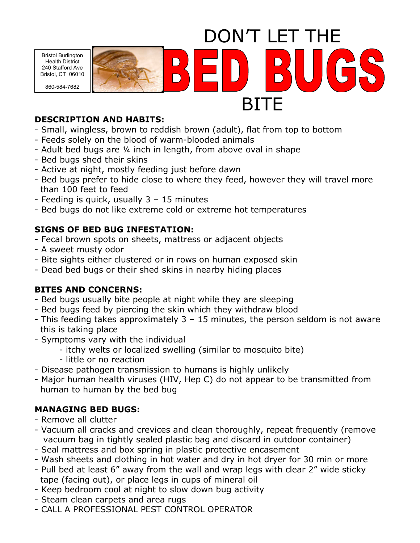DON'T LET THE Bristol Burlington GS Health District 240 Stafford Ave Bristol, CT 06010 860-584-7682BITE

#### **DESCRIPTION AND HABITS:**

- Small, wingless, brown to reddish brown (adult), flat from top to bottom
- Feeds solely on the blood of warm-blooded animals
- Adult bed bugs are ¼ inch in length, from above oval in shape
- Bed bugs shed their skins
- Active at night, mostly feeding just before dawn
- Bed bugs prefer to hide close to where they feed, however they will travel more than 100 feet to feed
- Feeding is quick, usually 3 15 minutes
- Bed bugs do not like extreme cold or extreme hot temperatures

## **SIGNS OF BED BUG INFESTATION:**

- Fecal brown spots on sheets, mattress or adjacent objects
- A sweet musty odor
- Bite sights either clustered or in rows on human exposed skin
- Dead bed bugs or their shed skins in nearby hiding places

## **BITES AND CONCERNS:**

- Bed bugs usually bite people at night while they are sleeping
- Bed bugs feed by piercing the skin which they withdraw blood
- This feeding takes approximately 3 15 minutes, the person seldom is not aware this is taking place
- Symptoms vary with the individual
	- itchy welts or localized swelling (similar to mosquito bite)
	- little or no reaction
- Disease pathogen transmission to humans is highly unlikely
- Major human health viruses (HIV, Hep C) do not appear to be transmitted from human to human by the bed bug

# **MANAGING BED BUGS:**

- Remove all clutter
- Vacuum all cracks and crevices and clean thoroughly, repeat frequently (remove vacuum bag in tightly sealed plastic bag and discard in outdoor container)
- Seal mattress and box spring in plastic protective encasement
- Wash sheets and clothing in hot water and dry in hot dryer for 30 min or more
- Pull bed at least 6" away from the wall and wrap legs with clear 2" wide sticky tape (facing out), or place legs in cups of mineral oil
- Keep bedroom cool at night to slow down bug activity
- Steam clean carpets and area rugs
- CALL A PROFESSIONAL PEST CONTROL OPERATOR